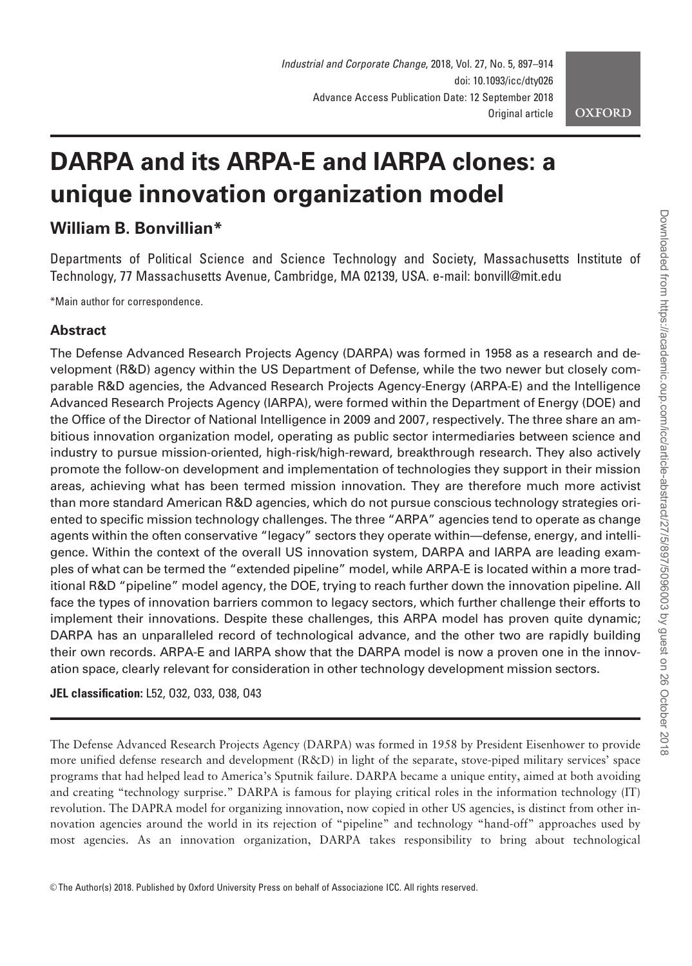# DARPA and its ARPA-E and IARPA clones: a unique innovation organization model

# William B. Bonvillian\*

Departments of Political Science and Science Technology and Society, Massachusetts Institute of Technology, 77 Massachusetts Avenue, Cambridge, MA 02139, USA. e-mail: bonvill@mit.edu

\*Main author for correspondence.

# Abstract

The Defense Advanced Research Projects Agency (DARPA) was formed in 1958 as a research and development (R&D) agency within the US Department of Defense, while the two newer but closely comparable R&D agencies, the Advanced Research Projects Agency-Energy (ARPA-E) and the Intelligence Advanced Research Projects Agency (IARPA), were formed within the Department of Energy (DOE) and the Office of the Director of National Intelligence in 2009 and 2007, respectively. The three share an ambitious innovation organization model, operating as public sector intermediaries between science and industry to pursue mission-oriented, high-risk/high-reward, breakthrough research. They also actively promote the follow-on development and implementation of technologies they support in their mission areas, achieving what has been termed mission innovation. They are therefore much more activist than more standard American R&D agencies, which do not pursue conscious technology strategies oriented to specific mission technology challenges. The three "ARPA" agencies tend to operate as change agents within the often conservative "legacy" sectors they operate within—defense, energy, and intelligence. Within the context of the overall US innovation system, DARPA and IARPA are leading examples of what can be termed the "extended pipeline" model, while ARPA-E is located within a more traditional R&D "pipeline" model agency, the DOE, trying to reach further down the innovation pipeline. All face the types of innovation barriers common to legacy sectors, which further challenge their efforts to implement their innovations. Despite these challenges, this ARPA model has proven quite dynamic; DARPA has an unparalleled record of technological advance, and the other two are rapidly building their own records. ARPA-E and IARPA show that the DARPA model is now a proven one in the innovation space, clearly relevant for consideration in other technology development mission sectors.

## JEL classification: L52, O32, O33, O38, O43

The Defense Advanced Research Projects Agency (DARPA) was formed in 1958 by President Eisenhower to provide more unified defense research and development (R&D) in light of the separate, stove-piped military services' space programs that had helped lead to America's Sputnik failure. DARPA became a unique entity, aimed at both avoiding and creating "technology surprise." DARPA is famous for playing critical roles in the information technology (IT) revolution. The DAPRA model for organizing innovation, now copied in other US agencies, is distinct from other innovation agencies around the world in its rejection of "pipeline" and technology "hand-off" approaches used by most agencies. As an innovation organization, DARPA takes responsibility to bring about technological

V<sup>C</sup> The Author(s) 2018. Published by Oxford University Press on behalf of Associazione ICC. All rights reserved.

**OXFORD**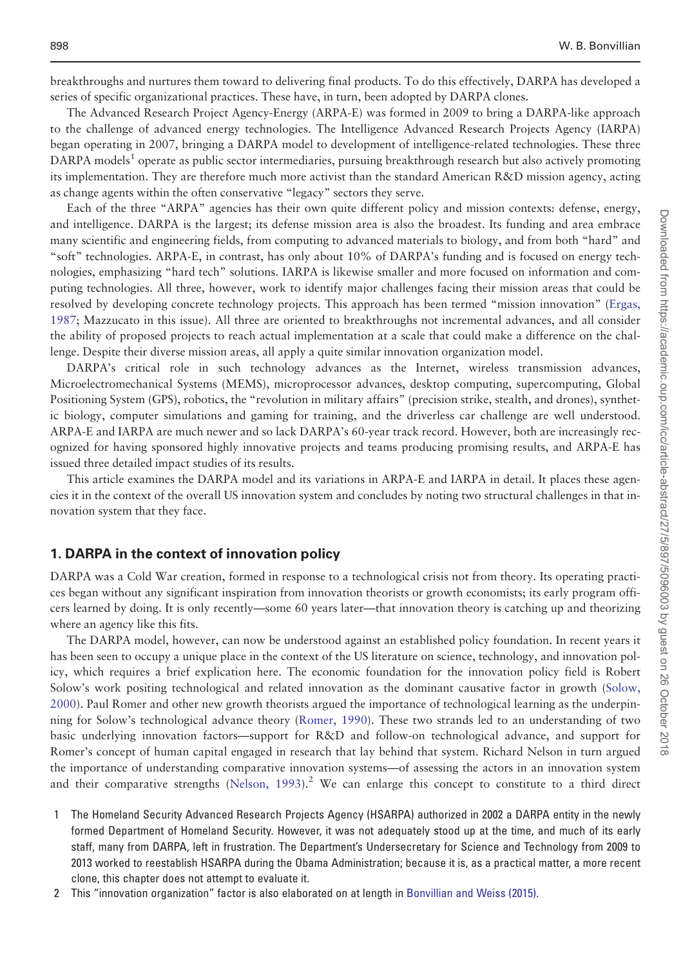breakthroughs and nurtures them toward to delivering final products. To do this effectively, DARPA has developed a series of specific organizational practices. These have, in turn, been adopted by DARPA clones.

The Advanced Research Project Agency-Energy (ARPA-E) was formed in 2009 to bring a DARPA-like approach to the challenge of advanced energy technologies. The Intelligence Advanced Research Projects Agency (IARPA) began operating in 2007, bringing a DARPA model to development of intelligence-related technologies. These three DARPA models<sup>1</sup> operate as public sector intermediaries, pursuing breakthrough research but also actively promoting its implementation. They are therefore much more activist than the standard American R&D mission agency, acting as change agents within the often conservative "legacy" sectors they serve.

Each of the three "ARPA" agencies has their own quite different policy and mission contexts: defense, energy, and intelligence. DARPA is the largest; its defense mission area is also the broadest. Its funding and area embrace many scientific and engineering fields, from computing to advanced materials to biology, and from both "hard" and "soft" technologies. ARPA-E, in contrast, has only about 10% of DARPA's funding and is focused on energy technologies, emphasizing "hard tech" solutions. IARPA is likewise smaller and more focused on information and computing technologies. All three, however, work to identify major challenges facing their mission areas that could be resolved by developing concrete technology projects. This approach has been termed "mission innovation" ([Ergas,](#page-16-0) [1987;](#page-16-0) Mazzucato in this issue). All three are oriented to breakthroughs not incremental advances, and all consider the ability of proposed projects to reach actual implementation at a scale that could make a difference on the challenge. Despite their diverse mission areas, all apply a quite similar innovation organization model.

DARPA's critical role in such technology advances as the Internet, wireless transmission advances, Microelectromechanical Systems (MEMS), microprocessor advances, desktop computing, supercomputing, Global Positioning System (GPS), robotics, the "revolution in military affairs" (precision strike, stealth, and drones), synthetic biology, computer simulations and gaming for training, and the driverless car challenge are well understood. ARPA-E and IARPA are much newer and so lack DARPA's 60-year track record. However, both are increasingly recognized for having sponsored highly innovative projects and teams producing promising results, and ARPA-E has issued three detailed impact studies of its results.

This article examines the DARPA model and its variations in ARPA-E and IARPA in detail. It places these agencies it in the context of the overall US innovation system and concludes by noting two structural challenges in that innovation system that they face.

## 1. DARPA in the context of innovation policy

DARPA was a Cold War creation, formed in response to a technological crisis not from theory. Its operating practices began without any significant inspiration from innovation theorists or growth economists; its early program officers learned by doing. It is only recently—some 60 years later—that innovation theory is catching up and theorizing where an agency like this fits.

The DARPA model, however, can now be understood against an established policy foundation. In recent years it has been seen to occupy a unique place in the context of the US literature on science, technology, and innovation policy, which requires a brief explication here. The economic foundation for the innovation policy field is Robert Solow's work positing technological and related innovation as the dominant causative factor in growth [\(Solow,](#page-17-0) [2000\)](#page-17-0). Paul Romer and other new growth theorists argued the importance of technological learning as the underpinning for Solow's technological advance theory ([Romer, 1990\)](#page-17-0). These two strands led to an understanding of two basic underlying innovation factors—support for R&D and follow-on technological advance, and support for Romer's concept of human capital engaged in research that lay behind that system. Richard Nelson in turn argued the importance of understanding comparative innovation systems—of assessing the actors in an innovation system and their comparative strengths ([Nelson, 1993](#page-17-0)).<sup>2</sup> We can enlarge this concept to constitute to a third direct

- 1 The Homeland Security Advanced Research Projects Agency (HSARPA) authorized in 2002 a DARPA entity in the newly formed Department of Homeland Security. However, it was not adequately stood up at the time, and much of its early staff, many from DARPA, left in frustration. The Department's Undersecretary for Science and Technology from 2009 to 2013 worked to reestablish HSARPA during the Obama Administration; because it is, as a practical matter, a more recent clone, this chapter does not attempt to evaluate it.
- 2 This "innovation organization" factor is also elaborated on at length in [Bonvillian and Weiss \(2015\).](#page-16-0)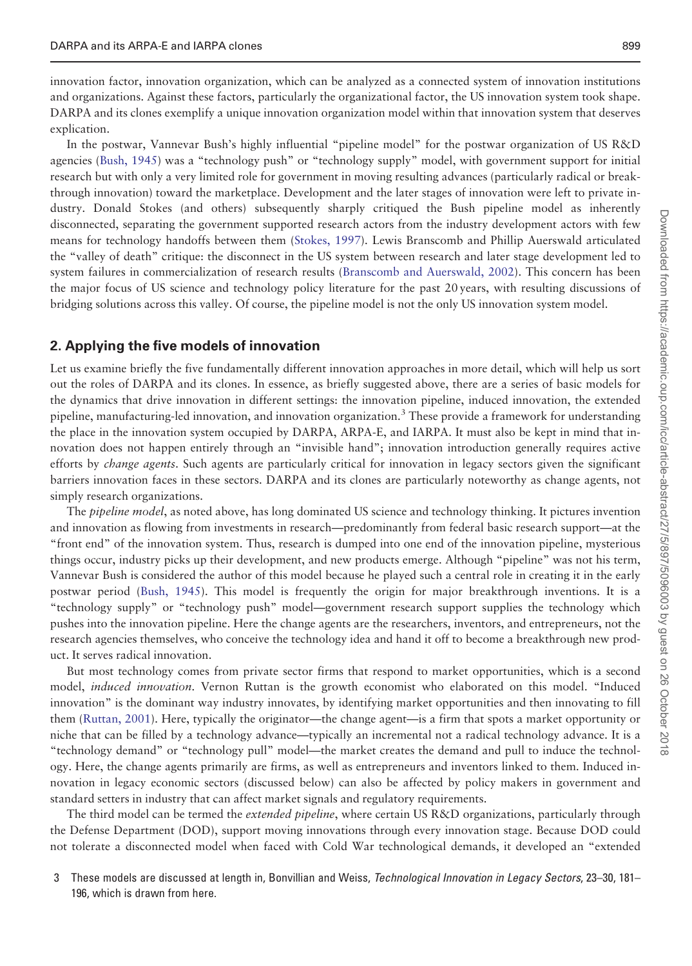innovation factor, innovation organization, which can be analyzed as a connected system of innovation institutions and organizations. Against these factors, particularly the organizational factor, the US innovation system took shape. DARPA and its clones exemplify a unique innovation organization model within that innovation system that deserves explication.

In the postwar, Vannevar Bush's highly influential "pipeline model" for the postwar organization of US R&D agencies ([Bush, 1945\)](#page-16-0) was a "technology push" or "technology supply" model, with government support for initial research but with only a very limited role for government in moving resulting advances (particularly radical or breakthrough innovation) toward the marketplace. Development and the later stages of innovation were left to private industry. Donald Stokes (and others) subsequently sharply critiqued the Bush pipeline model as inherently disconnected, separating the government supported research actors from the industry development actors with few means for technology handoffs between them [\(Stokes, 1997](#page-17-0)). Lewis Branscomb and Phillip Auerswald articulated the "valley of death" critique: the disconnect in the US system between research and later stage development led to system failures in commercialization of research results [\(Branscomb and Auerswald, 2002](#page-16-0)). This concern has been the major focus of US science and technology policy literature for the past 20 years, with resulting discussions of bridging solutions across this valley. Of course, the pipeline model is not the only US innovation system model.

#### 2. Applying the five models of innovation

Let us examine briefly the five fundamentally different innovation approaches in more detail, which will help us sort out the roles of DARPA and its clones. In essence, as briefly suggested above, there are a series of basic models for the dynamics that drive innovation in different settings: the innovation pipeline, induced innovation, the extended pipeline, manufacturing-led innovation, and innovation organization.<sup>3</sup> These provide a framework for understanding the place in the innovation system occupied by DARPA, ARPA-E, and IARPA. It must also be kept in mind that innovation does not happen entirely through an "invisible hand"; innovation introduction generally requires active efforts by change agents. Such agents are particularly critical for innovation in legacy sectors given the significant barriers innovation faces in these sectors. DARPA and its clones are particularly noteworthy as change agents, not simply research organizations.

The *pipeline model*, as noted above, has long dominated US science and technology thinking. It pictures invention and innovation as flowing from investments in research—predominantly from federal basic research support—at the "front end" of the innovation system. Thus, research is dumped into one end of the innovation pipeline, mysterious things occur, industry picks up their development, and new products emerge. Although "pipeline" was not his term, Vannevar Bush is considered the author of this model because he played such a central role in creating it in the early postwar period [\(Bush, 1945\)](#page-16-0). This model is frequently the origin for major breakthrough inventions. It is a "technology supply" or "technology push" model—government research support supplies the technology which pushes into the innovation pipeline. Here the change agents are the researchers, inventors, and entrepreneurs, not the research agencies themselves, who conceive the technology idea and hand it off to become a breakthrough new product. It serves radical innovation.

But most technology comes from private sector firms that respond to market opportunities, which is a second model, *induced innovation*. Vernon Ruttan is the growth economist who elaborated on this model. "Induced innovation" is the dominant way industry innovates, by identifying market opportunities and then innovating to fill them ([Ruttan, 2001\)](#page-17-0). Here, typically the originator—the change agent—is a firm that spots a market opportunity or niche that can be filled by a technology advance—typically an incremental not a radical technology advance. It is a "technology demand" or "technology pull" model—the market creates the demand and pull to induce the technology. Here, the change agents primarily are firms, as well as entrepreneurs and inventors linked to them. Induced innovation in legacy economic sectors (discussed below) can also be affected by policy makers in government and standard setters in industry that can affect market signals and regulatory requirements.

The third model can be termed the *extended pipeline*, where certain US R&D organizations, particularly through the Defense Department (DOD), support moving innovations through every innovation stage. Because DOD could not tolerate a disconnected model when faced with Cold War technological demands, it developed an "extended

3 These models are discussed at length in, Bonvillian and Weiss, Technological Innovation in Legacy Sectors, 23–30, 181– 196, which is drawn from here.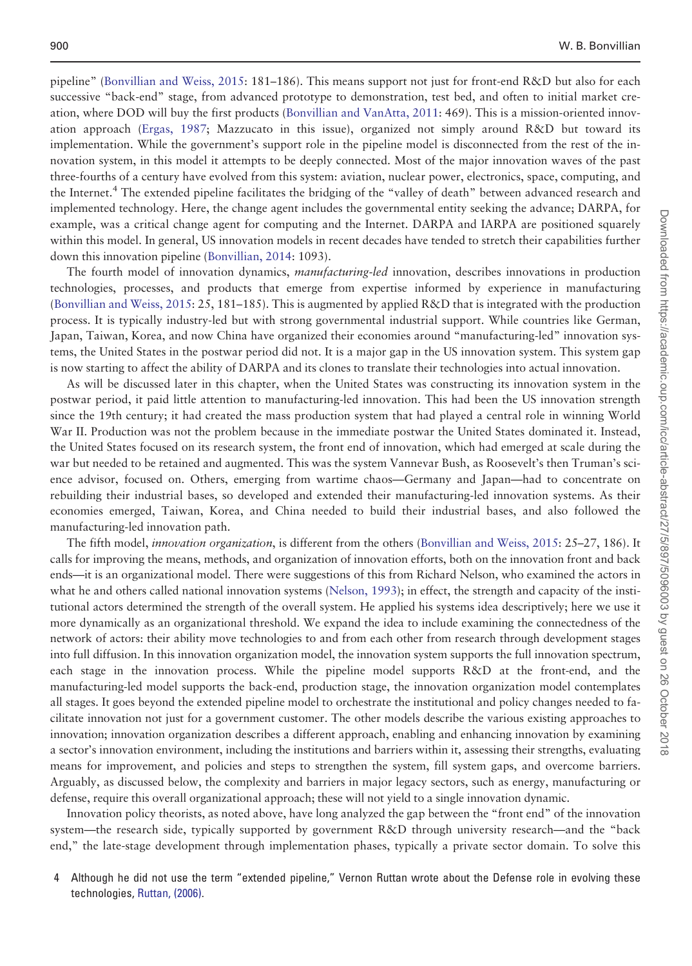pipeline" [\(Bonvillian and Weiss, 2015](#page-16-0): 181–186). This means support not just for front-end R&D but also for each successive "back-end" stage, from advanced prototype to demonstration, test bed, and often to initial market creation, where DOD will buy the first products [\(Bonvillian and VanAtta, 2011:](#page-16-0) 469). This is a mission-oriented innovation approach [\(Ergas, 1987;](#page-16-0) Mazzucato in this issue), organized not simply around R&D but toward its implementation. While the government's support role in the pipeline model is disconnected from the rest of the innovation system, in this model it attempts to be deeply connected. Most of the major innovation waves of the past three-fourths of a century have evolved from this system: aviation, nuclear power, electronics, space, computing, and the Internet.<sup>4</sup> The extended pipeline facilitates the bridging of the "valley of death" between advanced research and implemented technology. Here, the change agent includes the governmental entity seeking the advance; DARPA, for example, was a critical change agent for computing and the Internet. DARPA and IARPA are positioned squarely within this model. In general, US innovation models in recent decades have tended to stretch their capabilities further down this innovation pipeline ([Bonvillian, 2014:](#page-16-0) 1093).

The fourth model of innovation dynamics, *manufacturing-led* innovation, describes innovations in production technologies, processes, and products that emerge from expertise informed by experience in manufacturing [\(Bonvillian and Weiss, 2015](#page-16-0): 25, 181–185). This is augmented by applied R&D that is integrated with the production process. It is typically industry-led but with strong governmental industrial support. While countries like German, Japan, Taiwan, Korea, and now China have organized their economies around "manufacturing-led" innovation systems, the United States in the postwar period did not. It is a major gap in the US innovation system. This system gap is now starting to affect the ability of DARPA and its clones to translate their technologies into actual innovation.

As will be discussed later in this chapter, when the United States was constructing its innovation system in the postwar period, it paid little attention to manufacturing-led innovation. This had been the US innovation strength since the 19th century; it had created the mass production system that had played a central role in winning World War II. Production was not the problem because in the immediate postwar the United States dominated it. Instead, the United States focused on its research system, the front end of innovation, which had emerged at scale during the war but needed to be retained and augmented. This was the system Vannevar Bush, as Roosevelt's then Truman's science advisor, focused on. Others, emerging from wartime chaos—Germany and Japan—had to concentrate on rebuilding their industrial bases, so developed and extended their manufacturing-led innovation systems. As their economies emerged, Taiwan, Korea, and China needed to build their industrial bases, and also followed the manufacturing-led innovation path.

The fifth model, innovation organization, is different from the others [\(Bonvillian and Weiss, 2015:](#page-16-0) 25–27, 186). It calls for improving the means, methods, and organization of innovation efforts, both on the innovation front and back ends—it is an organizational model. There were suggestions of this from Richard Nelson, who examined the actors in what he and others called national innovation systems [\(Nelson, 1993](#page-17-0)); in effect, the strength and capacity of the institutional actors determined the strength of the overall system. He applied his systems idea descriptively; here we use it more dynamically as an organizational threshold. We expand the idea to include examining the connectedness of the network of actors: their ability move technologies to and from each other from research through development stages into full diffusion. In this innovation organization model, the innovation system supports the full innovation spectrum, each stage in the innovation process. While the pipeline model supports R&D at the front-end, and the manufacturing-led model supports the back-end, production stage, the innovation organization model contemplates all stages. It goes beyond the extended pipeline model to orchestrate the institutional and policy changes needed to facilitate innovation not just for a government customer. The other models describe the various existing approaches to innovation; innovation organization describes a different approach, enabling and enhancing innovation by examining a sector's innovation environment, including the institutions and barriers within it, assessing their strengths, evaluating means for improvement, and policies and steps to strengthen the system, fill system gaps, and overcome barriers. Arguably, as discussed below, the complexity and barriers in major legacy sectors, such as energy, manufacturing or defense, require this overall organizational approach; these will not yield to a single innovation dynamic.

Innovation policy theorists, as noted above, have long analyzed the gap between the "front end" of the innovation system—the research side, typically supported by government R&D through university research—and the "back end," the late-stage development through implementation phases, typically a private sector domain. To solve this

4 Although he did not use the term "extended pipeline," Vernon Ruttan wrote about the Defense role in evolving these technologies, [Ruttan, \(2006\)](#page-17-0).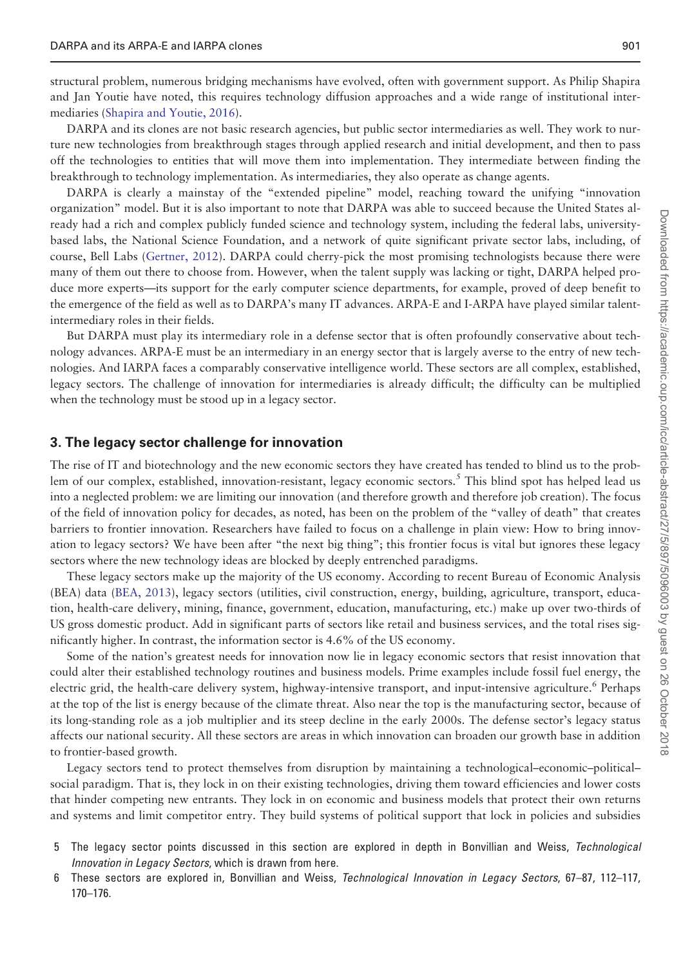structural problem, numerous bridging mechanisms have evolved, often with government support. As Philip Shapira and Jan Youtie have noted, this requires technology diffusion approaches and a wide range of institutional intermediaries [\(Shapira and Youtie, 2016\)](#page-17-0).

DARPA and its clones are not basic research agencies, but public sector intermediaries as well. They work to nurture new technologies from breakthrough stages through applied research and initial development, and then to pass off the technologies to entities that will move them into implementation. They intermediate between finding the breakthrough to technology implementation. As intermediaries, they also operate as change agents.

DARPA is clearly a mainstay of the "extended pipeline" model, reaching toward the unifying "innovation organization" model. But it is also important to note that DARPA was able to succeed because the United States already had a rich and complex publicly funded science and technology system, including the federal labs, universitybased labs, the National Science Foundation, and a network of quite significant private sector labs, including, of course, Bell Labs [\(Gertner, 2012\)](#page-16-0). DARPA could cherry-pick the most promising technologists because there were many of them out there to choose from. However, when the talent supply was lacking or tight, DARPA helped produce more experts—its support for the early computer science departments, for example, proved of deep benefit to the emergence of the field as well as to DARPA's many IT advances. ARPA-E and I-ARPA have played similar talentintermediary roles in their fields.

But DARPA must play its intermediary role in a defense sector that is often profoundly conservative about technology advances. ARPA-E must be an intermediary in an energy sector that is largely averse to the entry of new technologies. And IARPA faces a comparably conservative intelligence world. These sectors are all complex, established, legacy sectors. The challenge of innovation for intermediaries is already difficult; the difficulty can be multiplied when the technology must be stood up in a legacy sector.

#### 3. The legacy sector challenge for innovation

The rise of IT and biotechnology and the new economic sectors they have created has tended to blind us to the problem of our complex, established, innovation-resistant, legacy economic sectors.<sup>5</sup> This blind spot has helped lead us into a neglected problem: we are limiting our innovation (and therefore growth and therefore job creation). The focus of the field of innovation policy for decades, as noted, has been on the problem of the "valley of death" that creates barriers to frontier innovation. Researchers have failed to focus on a challenge in plain view: How to bring innovation to legacy sectors? We have been after "the next big thing"; this frontier focus is vital but ignores these legacy sectors where the new technology ideas are blocked by deeply entrenched paradigms.

These legacy sectors make up the majority of the US economy. According to recent Bureau of Economic Analysis (BEA) data [\(BEA, 2013\)](#page-16-0), legacy sectors (utilities, civil construction, energy, building, agriculture, transport, education, health-care delivery, mining, finance, government, education, manufacturing, etc.) make up over two-thirds of US gross domestic product. Add in significant parts of sectors like retail and business services, and the total rises significantly higher. In contrast, the information sector is 4.6% of the US economy.

Some of the nation's greatest needs for innovation now lie in legacy economic sectors that resist innovation that could alter their established technology routines and business models. Prime examples include fossil fuel energy, the electric grid, the health-care delivery system, highway-intensive transport, and input-intensive agriculture.<sup>6</sup> Perhaps at the top of the list is energy because of the climate threat. Also near the top is the manufacturing sector, because of its long-standing role as a job multiplier and its steep decline in the early 2000s. The defense sector's legacy status affects our national security. All these sectors are areas in which innovation can broaden our growth base in addition to frontier-based growth.

Legacy sectors tend to protect themselves from disruption by maintaining a technological–economic–political– social paradigm. That is, they lock in on their existing technologies, driving them toward efficiencies and lower costs that hinder competing new entrants. They lock in on economic and business models that protect their own returns and systems and limit competitor entry. They build systems of political support that lock in policies and subsidies

- 5 The legacy sector points discussed in this section are explored in depth in Bonvillian and Weiss, Technological Innovation in Legacy Sectors, which is drawn from here.
- 6 These sectors are explored in, Bonvillian and Weiss, Technological Innovation in Legacy Sectors, 67–87, 112–117, 170–176.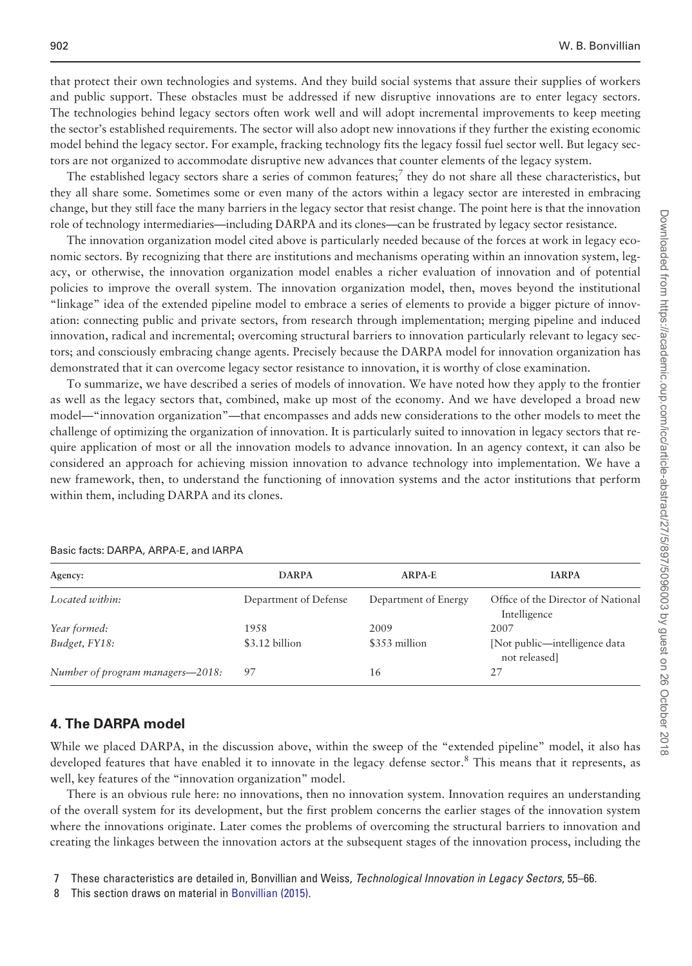that protect their own technologies and systems. And they build social systems that assure their supplies of workers and public support. These obstacles must be addressed if new disruptive innovations are to enter legacy sectors. The technologies behind legacy sectors often work well and will adopt incremental improvements to keep meeting the sector's established requirements. The sector will also adopt new innovations if they further the existing economic model behind the legacy sector. For example, fracking technology fits the legacy fossil fuel sector well. But legacy sectors are not organized to accommodate disruptive new advances that counter elements of the legacy system.

The established legacy sectors share a series of common features;<sup>7</sup> they do not share all these characteristics, but they all share some. Sometimes some or even many of the actors within a legacy sector are interested in embracing change, but they still face the many barriers in the legacy sector that resist change. The point here is that the innovation role of technology intermediaries—including DARPA and its clones—can be frustrated by legacy sector resistance.

The innovation organization model cited above is particularly needed because of the forces at work in legacy economic sectors. By recognizing that there are institutions and mechanisms operating within an innovation system, legacy, or otherwise, the innovation organization model enables a richer evaluation of innovation and of potential policies to improve the overall system. The innovation organization model, then, moves beyond the institutional "linkage" idea of the extended pipeline model to embrace a series of elements to provide a bigger picture of innovation: connecting public and private sectors, from research through implementation; merging pipeline and induced innovation, radical and incremental; overcoming structural barriers to innovation particularly relevant to legacy sectors; and consciously embracing change agents. Precisely because the DARPA model for innovation organization has demonstrated that it can overcome legacy sector resistance to innovation, it is worthy of close examination.

To summarize, we have described a series of models of innovation. We have noted how they apply to the frontier as well as the legacy sectors that, combined, make up most of the economy. And we have developed a broad new model—"innovation organization"—that encompasses and adds new considerations to the other models to meet the challenge of optimizing the organization of innovation. It is particularly suited to innovation in legacy sectors that require application of most or all the innovation models to advance innovation. In an agency context, it can also be considered an approach for achieving mission innovation to advance technology into implementation. We have a new framework, then, to understand the functioning of innovation systems and the actor institutions that perform within them, including DARPA and its clones.

| Agency:                          | <b>DARPA</b>          | <b>ARPA-E</b>        | <b>IARPA</b>                                       |
|----------------------------------|-----------------------|----------------------|----------------------------------------------------|
| Located within:                  | Department of Defense | Department of Energy | Office of the Director of National<br>Intelligence |
| Year formed:                     | 1958                  | 2009                 | 2007                                               |
| Budget, FY18:                    | \$3.12 billion        | \$353 million        | [Not public—intelligence data]<br>not released]    |
| Number of program managers-2018: | 97                    | 16                   | 27                                                 |

Basic facts: DARPA, ARPA-E, and IARPA

## 4. The DARPA model

While we placed DARPA, in the discussion above, within the sweep of the "extended pipeline" model, it also has developed features that have enabled it to innovate in the legacy defense sector.<sup>8</sup> This means that it represents, as well, key features of the "innovation organization" model.

There is an obvious rule here: no innovations, then no innovation system. Innovation requires an understanding of the overall system for its development, but the first problem concerns the earlier stages of the innovation system where the innovations originate. Later comes the problems of overcoming the structural barriers to innovation and creating the linkages between the innovation actors at the subsequent stages of the innovation process, including the

- 7 These characteristics are detailed in, Bonvillian and Weiss, Technological Innovation in Legacy Sectors, 55–66.
- 8 This section draws on material in [Bonvillian \(2015\).](#page-16-0)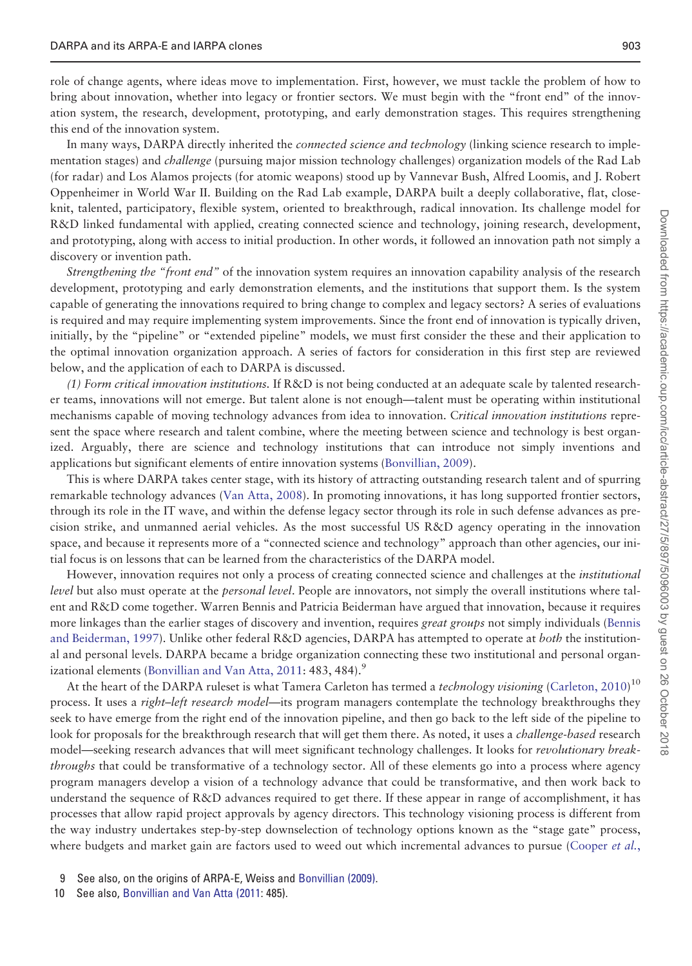role of change agents, where ideas move to implementation. First, however, we must tackle the problem of how to bring about innovation, whether into legacy or frontier sectors. We must begin with the "front end" of the innovation system, the research, development, prototyping, and early demonstration stages. This requires strengthening this end of the innovation system.

In many ways, DARPA directly inherited the *connected science and technology* (linking science research to implementation stages) and *challenge* (pursuing major mission technology challenges) organization models of the Rad Lab (for radar) and Los Alamos projects (for atomic weapons) stood up by Vannevar Bush, Alfred Loomis, and J. Robert Oppenheimer in World War II. Building on the Rad Lab example, DARPA built a deeply collaborative, flat, closeknit, talented, participatory, flexible system, oriented to breakthrough, radical innovation. Its challenge model for R&D linked fundamental with applied, creating connected science and technology, joining research, development, and prototyping, along with access to initial production. In other words, it followed an innovation path not simply a discovery or invention path.

Strengthening the "front end" of the innovation system requires an innovation capability analysis of the research development, prototyping and early demonstration elements, and the institutions that support them. Is the system capable of generating the innovations required to bring change to complex and legacy sectors? A series of evaluations is required and may require implementing system improvements. Since the front end of innovation is typically driven, initially, by the "pipeline" or "extended pipeline" models, we must first consider the these and their application to the optimal innovation organization approach. A series of factors for consideration in this first step are reviewed below, and the application of each to DARPA is discussed.

(1) Form critical innovation institutions. If R&D is not being conducted at an adequate scale by talented researcher teams, innovations will not emerge. But talent alone is not enough—talent must be operating within institutional mechanisms capable of moving technology advances from idea to innovation. Critical innovation institutions represent the space where research and talent combine, where the meeting between science and technology is best organized. Arguably, there are science and technology institutions that can introduce not simply inventions and applications but significant elements of entire innovation systems ([Bonvillian, 2009](#page-16-0)).

This is where DARPA takes center stage, with its history of attracting outstanding research talent and of spurring remarkable technology advances [\(Van Atta, 2008](#page-17-0)). In promoting innovations, it has long supported frontier sectors, through its role in the IT wave, and within the defense legacy sector through its role in such defense advances as precision strike, and unmanned aerial vehicles. As the most successful US R&D agency operating in the innovation space, and because it represents more of a "connected science and technology" approach than other agencies, our initial focus is on lessons that can be learned from the characteristics of the DARPA model.

However, innovation requires not only a process of creating connected science and challenges at the *institutional* level but also must operate at the *personal level*. People are innovators, not simply the overall institutions where talent and R&D come together. Warren Bennis and Patricia Beiderman have argued that innovation, because it requires more linkages than the earlier stages of discovery and invention, requires great groups not simply individuals [\(Bennis](#page-16-0) [and Beiderman, 1997\)](#page-16-0). Unlike other federal R&D agencies, DARPA has attempted to operate at both the institutional and personal levels. DARPA became a bridge organization connecting these two institutional and personal organ-izational elements ([Bonvillian and Van Atta, 2011](#page-16-0): 483, 484).<sup>9</sup>

At the heart of the DARPA ruleset is what Tamera Carleton has termed a *technology visioning* ([Carleton, 2010](#page-16-0))<sup>10</sup> process. It uses a right-left research model—its program managers contemplate the technology breakthroughs they seek to have emerge from the right end of the innovation pipeline, and then go back to the left side of the pipeline to look for proposals for the breakthrough research that will get them there. As noted, it uses a *challenge-based* research model—seeking research advances that will meet significant technology challenges. It looks for revolutionary breakthroughs that could be transformative of a technology sector. All of these elements go into a process where agency program managers develop a vision of a technology advance that could be transformative, and then work back to understand the sequence of R&D advances required to get there. If these appear in range of accomplishment, it has processes that allow rapid project approvals by agency directors. This technology visioning process is different from the way industry undertakes step-by-step downselection of technology options known as the "stage gate" process, where budgets and market gain are factors used to weed out which incremental advances to pursue [\(Cooper](#page-16-0) et al.,

- 9 See also, on the origins of ARPA-E, Weiss and [Bonvillian \(2009\).](#page-16-0)
- 10 See also, [Bonvillian and Van Atta \(2011](#page-16-0): 485).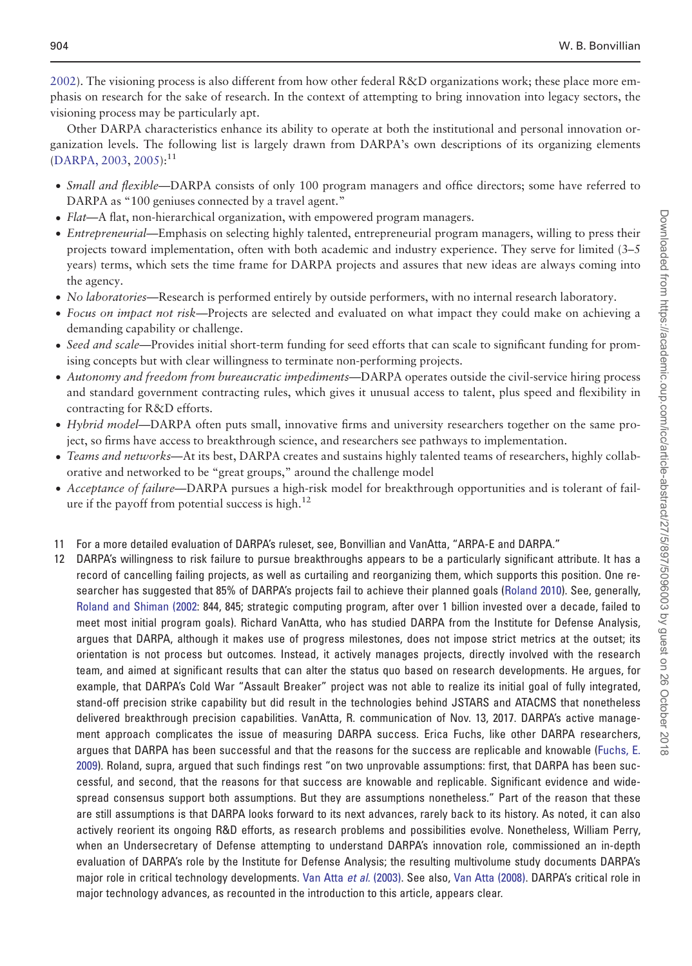[2002\)](#page-16-0). The visioning process is also different from how other federal R&D organizations work; these place more emphasis on research for the sake of research. In the context of attempting to bring innovation into legacy sectors, the visioning process may be particularly apt.

Other DARPA characteristics enhance its ability to operate at both the institutional and personal innovation organization levels. The following list is largely drawn from DARPA's own descriptions of its organizing elements [\(DARPA, 2003,](#page-16-0) [2005](#page-16-0)):<sup>11</sup>

- Small and flexible—DARPA consists of only 100 program managers and office directors; some have referred to DARPA as "100 geniuses connected by a travel agent."
- $Flat$ —A flat, non-hierarchical organization, with empowered program managers.
- Entrepreneurial—Emphasis on selecting highly talented, entrepreneurial program managers, willing to press their projects toward implementation, often with both academic and industry experience. They serve for limited (3–5 years) terms, which sets the time frame for DARPA projects and assures that new ideas are always coming into the agency.
- No laboratories—Research is performed entirely by outside performers, with no internal research laboratory.
- Focus on impact not risk—Projects are selected and evaluated on what impact they could make on achieving a demanding capability or challenge.
- Seed and scale—Provides initial short-term funding for seed efforts that can scale to significant funding for promising concepts but with clear willingness to terminate non-performing projects.
- Autonomy and freedom from bureaucratic impediments—DARPA operates outside the civil-service hiring process and standard government contracting rules, which gives it unusual access to talent, plus speed and flexibility in contracting for R&D efforts.
- Hybrid model—DARPA often puts small, innovative firms and university researchers together on the same project, so firms have access to breakthrough science, and researchers see pathways to implementation.
- Teams and networks—At its best, DARPA creates and sustains highly talented teams of researchers, highly collaborative and networked to be "great groups," around the challenge model
- Acceptance of failure—DARPA pursues a high-risk model for breakthrough opportunities and is tolerant of failure if the payoff from potential success is high.<sup>12</sup>
- 11 For a more detailed evaluation of DARPA's ruleset, see, Bonvillian and VanAtta, "ARPA-E and DARPA."
- 12 DARPA's willingness to risk failure to pursue breakthroughs appears to be a particularly significant attribute. It has a record of cancelling failing projects, as well as curtailing and reorganizing them, which supports this position. One researcher has suggested that 85% of DARPA's projects fail to achieve their planned goals [\(Roland 2010](#page-17-0)). See, generally, [Roland and Shiman \(2002](#page-17-0): 844, 845; strategic computing program, after over 1 billion invested over a decade, failed to meet most initial program goals). Richard VanAtta, who has studied DARPA from the Institute for Defense Analysis, argues that DARPA, although it makes use of progress milestones, does not impose strict metrics at the outset; its orientation is not process but outcomes. Instead, it actively manages projects, directly involved with the research team, and aimed at significant results that can alter the status quo based on research developments. He argues, for example, that DARPA's Cold War "Assault Breaker" project was not able to realize its initial goal of fully integrated, stand-off precision strike capability but did result in the technologies behind JSTARS and ATACMS that nonetheless delivered breakthrough precision capabilities. VanAtta, R. communication of Nov. 13, 2017. DARPA's active management approach complicates the issue of measuring DARPA success. Erica Fuchs, like other DARPA researchers, argues that DARPA has been successful and that the reasons for the success are replicable and knowable [\(Fuchs, E.](#page-16-0) [2009](#page-16-0)). Roland, supra, argued that such findings rest "on two unprovable assumptions: first, that DARPA has been successful, and second, that the reasons for that success are knowable and replicable. Significant evidence and widespread consensus support both assumptions. But they are assumptions nonetheless." Part of the reason that these are still assumptions is that DARPA looks forward to its next advances, rarely back to its history. As noted, it can also actively reorient its ongoing R&D efforts, as research problems and possibilities evolve. Nonetheless, William Perry, when an Undersecretary of Defense attempting to understand DARPA's innovation role, commissioned an in-depth evaluation of DARPA's role by the Institute for Defense Analysis; the resulting multivolume study documents DARPA's major role in critical technology developments. [Van Atta](#page-17-0) et al. (2003). See also, [Van Atta \(2008\)](#page-17-0). DARPA's critical role in major technology advances, as recounted in the introduction to this article, appears clear.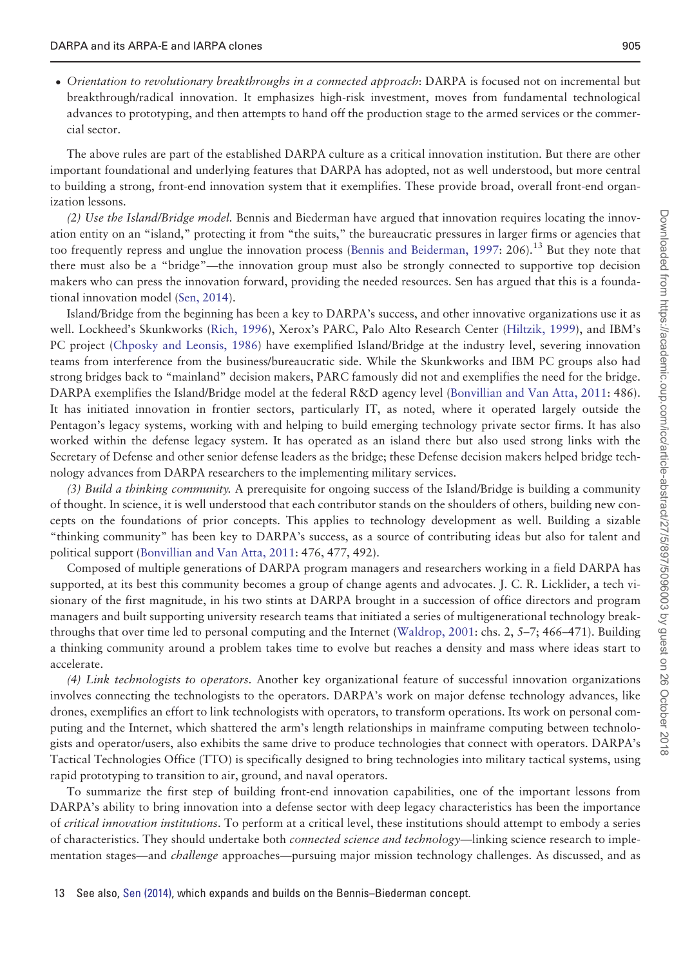• Orientation to revolutionary breakthroughs in a connected approach: DARPA is focused not on incremental but breakthrough/radical innovation. It emphasizes high-risk investment, moves from fundamental technological advances to prototyping, and then attempts to hand off the production stage to the armed services or the commercial sector.

The above rules are part of the established DARPA culture as a critical innovation institution. But there are other important foundational and underlying features that DARPA has adopted, not as well understood, but more central to building a strong, front-end innovation system that it exemplifies. These provide broad, overall front-end organization lessons.

(2) Use the Island/Bridge model. Bennis and Biederman have argued that innovation requires locating the innovation entity on an "island," protecting it from "the suits," the bureaucratic pressures in larger firms or agencies that too frequently repress and unglue the innovation process [\(Bennis and Beiderman, 1997:](#page-16-0) 206).<sup>13</sup> But they note that there must also be a "bridge"—the innovation group must also be strongly connected to supportive top decision makers who can press the innovation forward, providing the needed resources. Sen has argued that this is a foundational innovation model ([Sen, 2014\)](#page-17-0).

Island/Bridge from the beginning has been a key to DARPA's success, and other innovative organizations use it as well. Lockheed's Skunkworks [\(Rich, 1996](#page-17-0)), Xerox's PARC, Palo Alto Research Center ([Hiltzik, 1999](#page-16-0)), and IBM's PC project ([Chposky and Leonsis, 1986\)](#page-16-0) have exemplified Island/Bridge at the industry level, severing innovation teams from interference from the business/bureaucratic side. While the Skunkworks and IBM PC groups also had strong bridges back to "mainland" decision makers, PARC famously did not and exemplifies the need for the bridge. DARPA exemplifies the Island/Bridge model at the federal R&D agency level [\(Bonvillian and Van Atta, 2011](#page-16-0): 486). It has initiated innovation in frontier sectors, particularly IT, as noted, where it operated largely outside the Pentagon's legacy systems, working with and helping to build emerging technology private sector firms. It has also worked within the defense legacy system. It has operated as an island there but also used strong links with the Secretary of Defense and other senior defense leaders as the bridge; these Defense decision makers helped bridge technology advances from DARPA researchers to the implementing military services.

(3) Build a thinking community. A prerequisite for ongoing success of the Island/Bridge is building a community of thought. In science, it is well understood that each contributor stands on the shoulders of others, building new concepts on the foundations of prior concepts. This applies to technology development as well. Building a sizable "thinking community" has been key to DARPA's success, as a source of contributing ideas but also for talent and political support [\(Bonvillian and Van Atta, 2011:](#page-16-0) 476, 477, 492).

Composed of multiple generations of DARPA program managers and researchers working in a field DARPA has supported, at its best this community becomes a group of change agents and advocates. J. C. R. Licklider, a tech visionary of the first magnitude, in his two stints at DARPA brought in a succession of office directors and program managers and built supporting university research teams that initiated a series of multigenerational technology breakthroughs that over time led to personal computing and the Internet [\(Waldrop, 2001](#page-17-0): chs. 2, 5–7; 466–471). Building a thinking community around a problem takes time to evolve but reaches a density and mass where ideas start to accelerate.

(4) Link technologists to operators. Another key organizational feature of successful innovation organizations involves connecting the technologists to the operators. DARPA's work on major defense technology advances, like drones, exemplifies an effort to link technologists with operators, to transform operations. Its work on personal computing and the Internet, which shattered the arm's length relationships in mainframe computing between technologists and operator/users, also exhibits the same drive to produce technologies that connect with operators. DARPA's Tactical Technologies Office (TTO) is specifically designed to bring technologies into military tactical systems, using rapid prototyping to transition to air, ground, and naval operators.

To summarize the first step of building front-end innovation capabilities, one of the important lessons from DARPA's ability to bring innovation into a defense sector with deep legacy characteristics has been the importance of critical innovation institutions. To perform at a critical level, these institutions should attempt to embody a series of characteristics. They should undertake both *connected science and technology*—linking science research to implementation stages—and *challenge* approaches—pursuing major mission technology challenges. As discussed, and as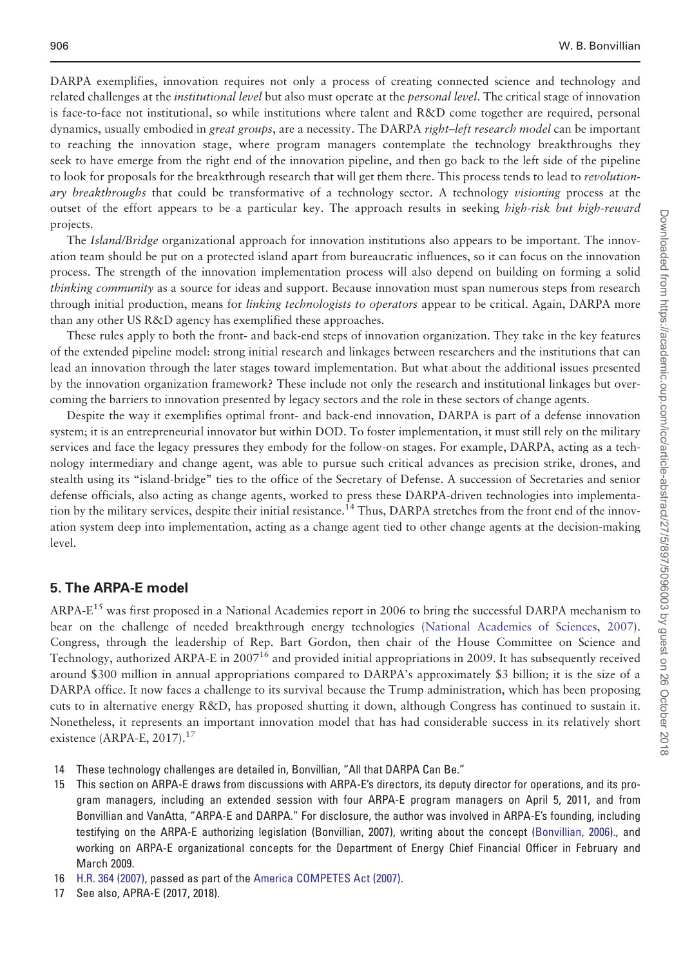DARPA exemplifies, innovation requires not only a process of creating connected science and technology and related challenges at the *institutional level* but also must operate at the *personal level*. The critical stage of innovation is face-to-face not institutional, so while institutions where talent and R&D come together are required, personal dynamics, usually embodied in great groups, are a necessity. The DARPA right–left research model can be important to reaching the innovation stage, where program managers contemplate the technology breakthroughs they seek to have emerge from the right end of the innovation pipeline, and then go back to the left side of the pipeline to look for proposals for the breakthrough research that will get them there. This process tends to lead to revolutionary breakthroughs that could be transformative of a technology sector. A technology visioning process at the outset of the effort appears to be a particular key. The approach results in seeking high-risk but high-reward projects.

The Island/Bridge organizational approach for innovation institutions also appears to be important. The innovation team should be put on a protected island apart from bureaucratic influences, so it can focus on the innovation process. The strength of the innovation implementation process will also depend on building on forming a solid thinking community as a source for ideas and support. Because innovation must span numerous steps from research through initial production, means for *linking technologists to operators* appear to be critical. Again, DARPA more than any other US R&D agency has exemplified these approaches.

These rules apply to both the front- and back-end steps of innovation organization. They take in the key features of the extended pipeline model: strong initial research and linkages between researchers and the institutions that can lead an innovation through the later stages toward implementation. But what about the additional issues presented by the innovation organization framework? These include not only the research and institutional linkages but overcoming the barriers to innovation presented by legacy sectors and the role in these sectors of change agents.

Despite the way it exemplifies optimal front- and back-end innovation, DARPA is part of a defense innovation system; it is an entrepreneurial innovator but within DOD. To foster implementation, it must still rely on the military services and face the legacy pressures they embody for the follow-on stages. For example, DARPA, acting as a technology intermediary and change agent, was able to pursue such critical advances as precision strike, drones, and stealth using its "island-bridge" ties to the office of the Secretary of Defense. A succession of Secretaries and senior defense officials, also acting as change agents, worked to press these DARPA-driven technologies into implementation by the military services, despite their initial resistance.<sup>14</sup> Thus, DARPA stretches from the front end of the innovation system deep into implementation, acting as a change agent tied to other change agents at the decision-making level.

# 5. The ARPA-E model

ARPA-E<sup>15</sup> was first proposed in a National Academies report in 2006 to bring the successful DARPA mechanism to bear on the challenge of needed breakthrough energy technologies ([National Academies of Sciences, 2007\)](#page-17-0). Congress, through the leadership of Rep. Bart Gordon, then chair of the House Committee on Science and Technology, authorized ARPA-E in 2007<sup>16</sup> and provided initial appropriations in 2009. It has subsequently received around \$300 million in annual appropriations compared to DARPA's approximately \$3 billion; it is the size of a DARPA office. It now faces a challenge to its survival because the Trump administration, which has been proposing cuts to in alternative energy R&D, has proposed shutting it down, although Congress has continued to sustain it. Nonetheless, it represents an important innovation model that has had considerable success in its relatively short existence (ARPA-E,  $2017$ ).<sup>17</sup>

- 14 These technology challenges are detailed in, Bonvillian, "All that DARPA Can Be."
- 15 This section on ARPA-E draws from discussions with ARPA-E's directors, its deputy director for operations, and its program managers, including an extended session with four ARPA-E program managers on April 5, 2011, and from Bonvillian and VanAtta, "ARPA-E and DARPA." For disclosure, the author was involved in ARPA-E's founding, including testifying on the ARPA-E authorizing legislation (Bonvillian, 2007), writing about the concept [\(Bonvillian, 2006\)](#page-16-0)., and working on ARPA-E organizational concepts for the Department of Energy Chief Financial Officer in February and March 2009.
- 16 [H.R. 364 \(2007\)](#page-16-0), passed as part of the [America COMPETES Act \(2007\)](#page-16-0).
- 17 See also, APRA-E (2017, 2018).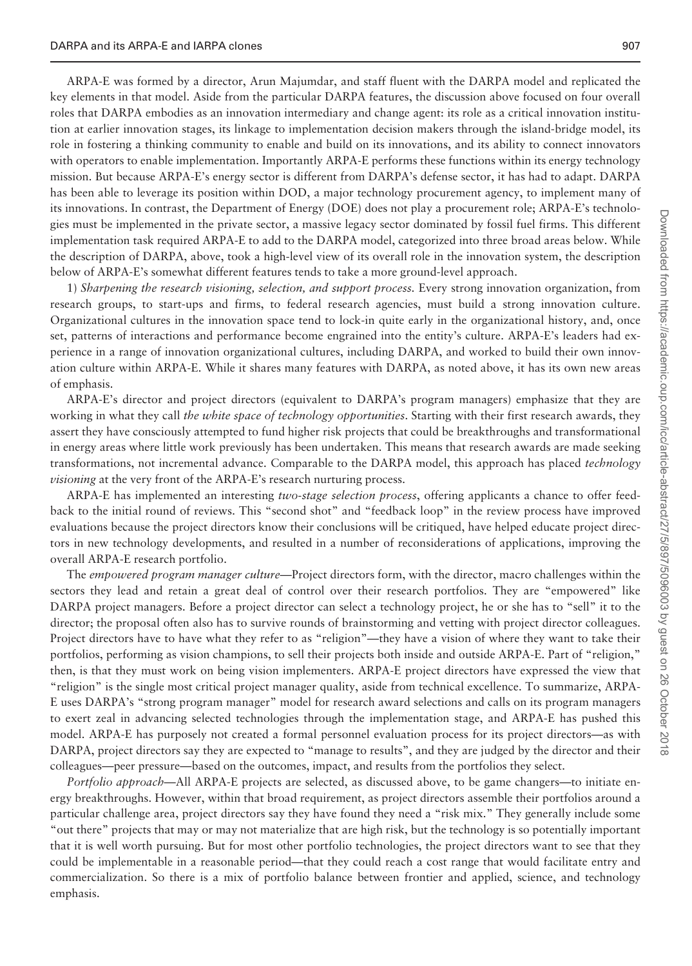ARPA-E was formed by a director, Arun Majumdar, and staff fluent with the DARPA model and replicated the key elements in that model. Aside from the particular DARPA features, the discussion above focused on four overall roles that DARPA embodies as an innovation intermediary and change agent: its role as a critical innovation institution at earlier innovation stages, its linkage to implementation decision makers through the island-bridge model, its role in fostering a thinking community to enable and build on its innovations, and its ability to connect innovators with operators to enable implementation. Importantly ARPA-E performs these functions within its energy technology mission. But because ARPA-E's energy sector is different from DARPA's defense sector, it has had to adapt. DARPA has been able to leverage its position within DOD, a major technology procurement agency, to implement many of its innovations. In contrast, the Department of Energy (DOE) does not play a procurement role; ARPA-E's technologies must be implemented in the private sector, a massive legacy sector dominated by fossil fuel firms. This different implementation task required ARPA-E to add to the DARPA model, categorized into three broad areas below. While the description of DARPA, above, took a high-level view of its overall role in the innovation system, the description below of ARPA-E's somewhat different features tends to take a more ground-level approach.

1) Sharpening the research visioning, selection, and support process. Every strong innovation organization, from research groups, to start-ups and firms, to federal research agencies, must build a strong innovation culture. Organizational cultures in the innovation space tend to lock-in quite early in the organizational history, and, once set, patterns of interactions and performance become engrained into the entity's culture. ARPA-E's leaders had experience in a range of innovation organizational cultures, including DARPA, and worked to build their own innovation culture within ARPA-E. While it shares many features with DARPA, as noted above, it has its own new areas of emphasis.

ARPA-E's director and project directors (equivalent to DARPA's program managers) emphasize that they are working in what they call the white space of technology opportunities. Starting with their first research awards, they assert they have consciously attempted to fund higher risk projects that could be breakthroughs and transformational in energy areas where little work previously has been undertaken. This means that research awards are made seeking transformations, not incremental advance. Comparable to the DARPA model, this approach has placed technology visioning at the very front of the ARPA-E's research nurturing process.

ARPA-E has implemented an interesting two-stage selection process, offering applicants a chance to offer feedback to the initial round of reviews. This "second shot" and "feedback loop" in the review process have improved evaluations because the project directors know their conclusions will be critiqued, have helped educate project directors in new technology developments, and resulted in a number of reconsiderations of applications, improving the overall ARPA-E research portfolio.

The empowered program manager culture—Project directors form, with the director, macro challenges within the sectors they lead and retain a great deal of control over their research portfolios. They are "empowered" like DARPA project managers. Before a project director can select a technology project, he or she has to "sell" it to the director; the proposal often also has to survive rounds of brainstorming and vetting with project director colleagues. Project directors have to have what they refer to as "religion"—they have a vision of where they want to take their portfolios, performing as vision champions, to sell their projects both inside and outside ARPA-E. Part of "religion," then, is that they must work on being vision implementers. ARPA-E project directors have expressed the view that "religion" is the single most critical project manager quality, aside from technical excellence. To summarize, ARPA-E uses DARPA's "strong program manager" model for research award selections and calls on its program managers to exert zeal in advancing selected technologies through the implementation stage, and ARPA-E has pushed this model. ARPA-E has purposely not created a formal personnel evaluation process for its project directors—as with DARPA, project directors say they are expected to "manage to results", and they are judged by the director and their colleagues—peer pressure—based on the outcomes, impact, and results from the portfolios they select.

Portfolio approach—All ARPA-E projects are selected, as discussed above, to be game changers—to initiate energy breakthroughs. However, within that broad requirement, as project directors assemble their portfolios around a particular challenge area, project directors say they have found they need a "risk mix." They generally include some "out there" projects that may or may not materialize that are high risk, but the technology is so potentially important that it is well worth pursuing. But for most other portfolio technologies, the project directors want to see that they could be implementable in a reasonable period—that they could reach a cost range that would facilitate entry and commercialization. So there is a mix of portfolio balance between frontier and applied, science, and technology emphasis.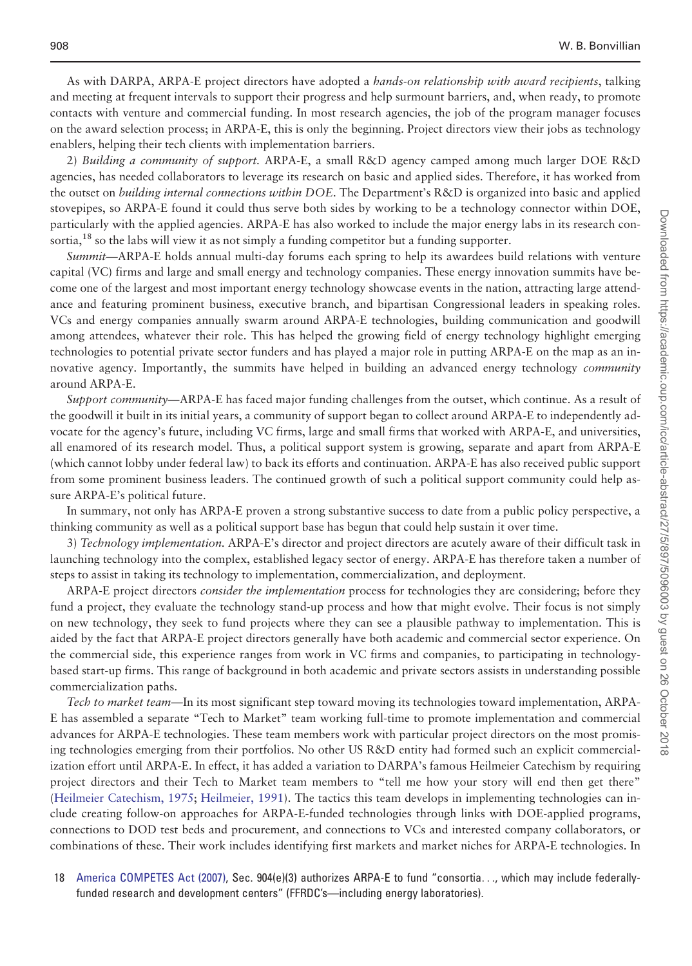As with DARPA, ARPA-E project directors have adopted a hands-on relationship with award recipients, talking and meeting at frequent intervals to support their progress and help surmount barriers, and, when ready, to promote contacts with venture and commercial funding. In most research agencies, the job of the program manager focuses on the award selection process; in ARPA-E, this is only the beginning. Project directors view their jobs as technology enablers, helping their tech clients with implementation barriers.

2) Building a community of support. ARPA-E, a small R&D agency camped among much larger DOE R&D agencies, has needed collaborators to leverage its research on basic and applied sides. Therefore, it has worked from the outset on *building internal connections within DOE*. The Department's R&D is organized into basic and applied stovepipes, so ARPA-E found it could thus serve both sides by working to be a technology connector within DOE, particularly with the applied agencies. ARPA-E has also worked to include the major energy labs in its research consortia,<sup>18</sup> so the labs will view it as not simply a funding competitor but a funding supporter.

Summit—ARPA-E holds annual multi-day forums each spring to help its awardees build relations with venture capital (VC) firms and large and small energy and technology companies. These energy innovation summits have become one of the largest and most important energy technology showcase events in the nation, attracting large attendance and featuring prominent business, executive branch, and bipartisan Congressional leaders in speaking roles. VCs and energy companies annually swarm around ARPA-E technologies, building communication and goodwill among attendees, whatever their role. This has helped the growing field of energy technology highlight emerging technologies to potential private sector funders and has played a major role in putting ARPA-E on the map as an innovative agency. Importantly, the summits have helped in building an advanced energy technology *community* around ARPA-E.

Support community—ARPA-E has faced major funding challenges from the outset, which continue. As a result of the goodwill it built in its initial years, a community of support began to collect around ARPA-E to independently advocate for the agency's future, including VC firms, large and small firms that worked with ARPA-E, and universities, all enamored of its research model. Thus, a political support system is growing, separate and apart from ARPA-E (which cannot lobby under federal law) to back its efforts and continuation. ARPA-E has also received public support from some prominent business leaders. The continued growth of such a political support community could help assure ARPA-E's political future.

In summary, not only has ARPA-E proven a strong substantive success to date from a public policy perspective, a thinking community as well as a political support base has begun that could help sustain it over time.

3) Technology implementation. ARPA-E's director and project directors are acutely aware of their difficult task in launching technology into the complex, established legacy sector of energy. ARPA-E has therefore taken a number of steps to assist in taking its technology to implementation, commercialization, and deployment.

ARPA-E project directors *consider the implementation* process for technologies they are considering; before they fund a project, they evaluate the technology stand-up process and how that might evolve. Their focus is not simply on new technology, they seek to fund projects where they can see a plausible pathway to implementation. This is aided by the fact that ARPA-E project directors generally have both academic and commercial sector experience. On the commercial side, this experience ranges from work in VC firms and companies, to participating in technologybased start-up firms. This range of background in both academic and private sectors assists in understanding possible commercialization paths.

Tech to market team—In its most significant step toward moving its technologies toward implementation, ARPA-E has assembled a separate "Tech to Market" team working full-time to promote implementation and commercial advances for ARPA-E technologies. These team members work with particular project directors on the most promising technologies emerging from their portfolios. No other US R&D entity had formed such an explicit commercialization effort until ARPA-E. In effect, it has added a variation to DARPA's famous Heilmeier Catechism by requiring project directors and their Tech to Market team members to "tell me how your story will end then get there" [\(Heilmeier Catechism, 1975;](#page-16-0) [Heilmeier, 1991\)](#page-16-0). The tactics this team develops in implementing technologies can include creating follow-on approaches for ARPA-E-funded technologies through links with DOE-applied programs, connections to DOD test beds and procurement, and connections to VCs and interested company collaborators, or combinations of these. Their work includes identifying first markets and market niches for ARPA-E technologies. In

18 [America COMPETES Act \(2007\),](#page-16-0) Sec. 904(e)(3) authorizes ARPA-E to fund "consortia..., which may include federallyfunded research and development centers" (FFRDC's—including energy laboratories).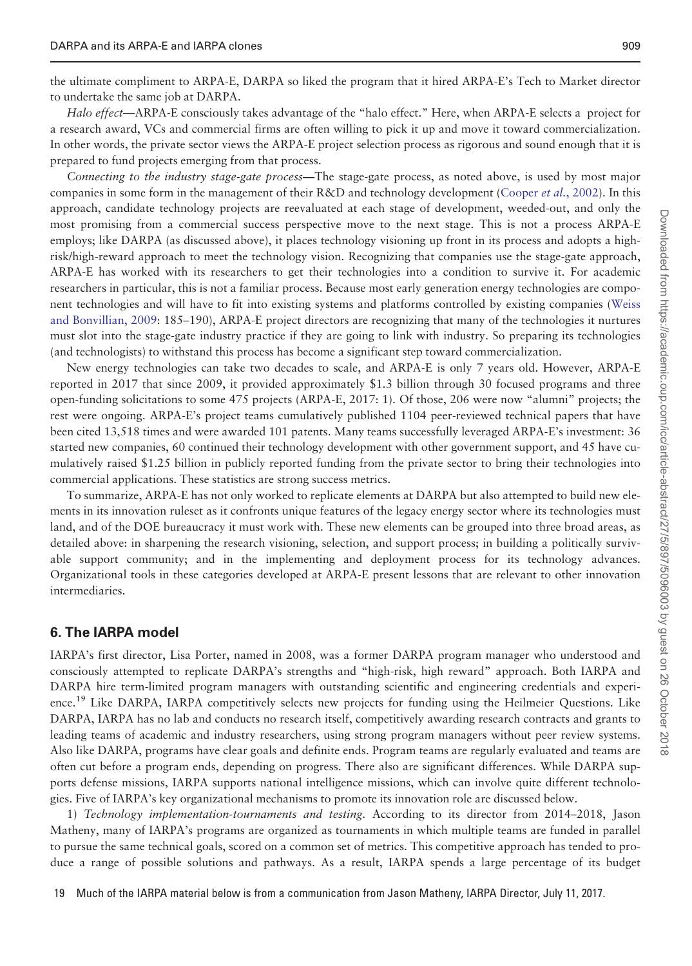the ultimate compliment to ARPA-E, DARPA so liked the program that it hired ARPA-E's Tech to Market director to undertake the same job at DARPA.

Halo effect—ARPA-E consciously takes advantage of the "halo effect." Here, when ARPA-E selects a project for a research award, VCs and commercial firms are often willing to pick it up and move it toward commercialization. In other words, the private sector views the ARPA-E project selection process as rigorous and sound enough that it is prepared to fund projects emerging from that process.

Connecting to the industry stage-gate process—The stage-gate process, as noted above, is used by most major companies in some form in the management of their R&D and technology development [\(Cooper](#page-16-0) *et al.*, 2002). In this approach, candidate technology projects are reevaluated at each stage of development, weeded-out, and only the most promising from a commercial success perspective move to the next stage. This is not a process ARPA-E employs; like DARPA (as discussed above), it places technology visioning up front in its process and adopts a highrisk/high-reward approach to meet the technology vision. Recognizing that companies use the stage-gate approach, ARPA-E has worked with its researchers to get their technologies into a condition to survive it. For academic researchers in particular, this is not a familiar process. Because most early generation energy technologies are component technologies and will have to fit into existing systems and platforms controlled by existing companies ([Weiss](#page-17-0) [and Bonvillian, 2009](#page-17-0): 185–190), ARPA-E project directors are recognizing that many of the technologies it nurtures must slot into the stage-gate industry practice if they are going to link with industry. So preparing its technologies (and technologists) to withstand this process has become a significant step toward commercialization.

New energy technologies can take two decades to scale, and ARPA-E is only 7 years old. However, ARPA-E reported in 2017 that since 2009, it provided approximately \$1.3 billion through 30 focused programs and three open-funding solicitations to some 475 projects (ARPA-E, 2017: 1). Of those, 206 were now "alumni" projects; the rest were ongoing. ARPA-E's project teams cumulatively published 1104 peer-reviewed technical papers that have been cited 13,518 times and were awarded 101 patents. Many teams successfully leveraged ARPA-E's investment: 36 started new companies, 60 continued their technology development with other government support, and 45 have cumulatively raised \$1.25 billion in publicly reported funding from the private sector to bring their technologies into commercial applications. These statistics are strong success metrics.

To summarize, ARPA-E has not only worked to replicate elements at DARPA but also attempted to build new elements in its innovation ruleset as it confronts unique features of the legacy energy sector where its technologies must land, and of the DOE bureaucracy it must work with. These new elements can be grouped into three broad areas, as detailed above: in sharpening the research visioning, selection, and support process; in building a politically survivable support community; and in the implementing and deployment process for its technology advances. Organizational tools in these categories developed at ARPA-E present lessons that are relevant to other innovation intermediaries.

#### 6. The IARPA model

IARPA's first director, Lisa Porter, named in 2008, was a former DARPA program manager who understood and consciously attempted to replicate DARPA's strengths and "high-risk, high reward" approach. Both IARPA and DARPA hire term-limited program managers with outstanding scientific and engineering credentials and experience.<sup>19</sup> Like DARPA, IARPA competitively selects new projects for funding using the Heilmeier Questions. Like DARPA, IARPA has no lab and conducts no research itself, competitively awarding research contracts and grants to leading teams of academic and industry researchers, using strong program managers without peer review systems. Also like DARPA, programs have clear goals and definite ends. Program teams are regularly evaluated and teams are often cut before a program ends, depending on progress. There also are significant differences. While DARPA supports defense missions, IARPA supports national intelligence missions, which can involve quite different technologies. Five of IARPA's key organizational mechanisms to promote its innovation role are discussed below.

1) Technology implementation-tournaments and testing. According to its director from 2014–2018, Jason Matheny, many of IARPA's programs are organized as tournaments in which multiple teams are funded in parallel to pursue the same technical goals, scored on a common set of metrics. This competitive approach has tended to produce a range of possible solutions and pathways. As a result, IARPA spends a large percentage of its budget

19 Much of the IARPA material below is from a communication from Jason Matheny, IARPA Director, July 11, 2017.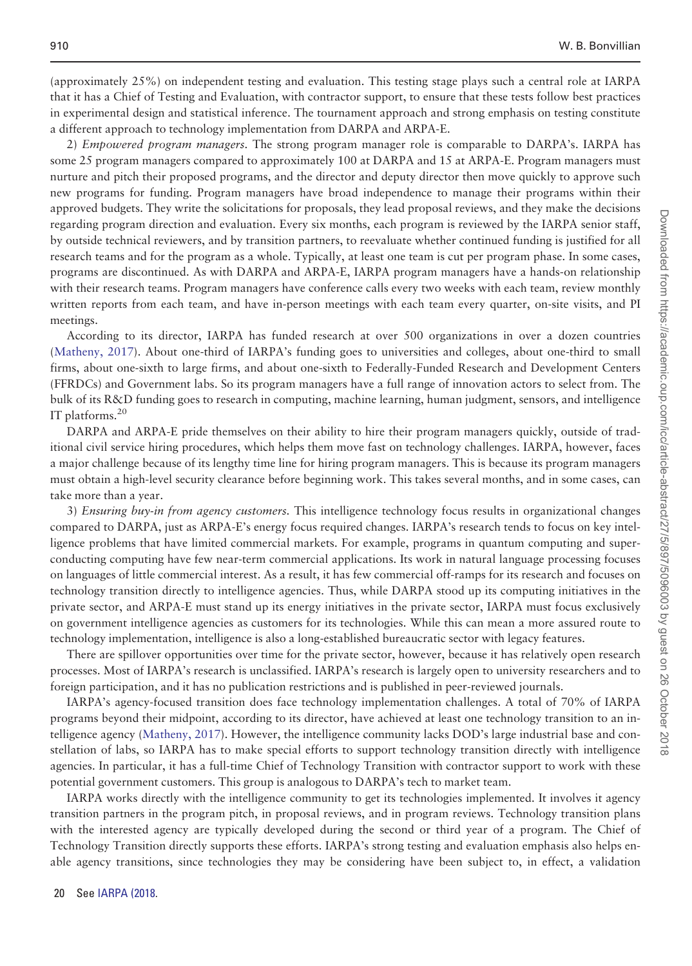(approximately 25%) on independent testing and evaluation. This testing stage plays such a central role at IARPA that it has a Chief of Testing and Evaluation, with contractor support, to ensure that these tests follow best practices in experimental design and statistical inference. The tournament approach and strong emphasis on testing constitute a different approach to technology implementation from DARPA and ARPA-E.

2) Empowered program managers. The strong program manager role is comparable to DARPA's. IARPA has some 25 program managers compared to approximately 100 at DARPA and 15 at ARPA-E. Program managers must nurture and pitch their proposed programs, and the director and deputy director then move quickly to approve such new programs for funding. Program managers have broad independence to manage their programs within their approved budgets. They write the solicitations for proposals, they lead proposal reviews, and they make the decisions regarding program direction and evaluation. Every six months, each program is reviewed by the IARPA senior staff, by outside technical reviewers, and by transition partners, to reevaluate whether continued funding is justified for all research teams and for the program as a whole. Typically, at least one team is cut per program phase. In some cases, programs are discontinued. As with DARPA and ARPA-E, IARPA program managers have a hands-on relationship with their research teams. Program managers have conference calls every two weeks with each team, review monthly written reports from each team, and have in-person meetings with each team every quarter, on-site visits, and PI meetings.

According to its director, IARPA has funded research at over 500 organizations in over a dozen countries [\(Matheny, 2017](#page-17-0)). About one-third of IARPA's funding goes to universities and colleges, about one-third to small firms, about one-sixth to large firms, and about one-sixth to Federally-Funded Research and Development Centers (FFRDCs) and Government labs. So its program managers have a full range of innovation actors to select from. The bulk of its R&D funding goes to research in computing, machine learning, human judgment, sensors, and intelligence IT platforms.<sup>20</sup>

DARPA and ARPA-E pride themselves on their ability to hire their program managers quickly, outside of traditional civil service hiring procedures, which helps them move fast on technology challenges. IARPA, however, faces a major challenge because of its lengthy time line for hiring program managers. This is because its program managers must obtain a high-level security clearance before beginning work. This takes several months, and in some cases, can take more than a year.

3) Ensuring buy-in from agency customers. This intelligence technology focus results in organizational changes compared to DARPA, just as ARPA-E's energy focus required changes. IARPA's research tends to focus on key intelligence problems that have limited commercial markets. For example, programs in quantum computing and superconducting computing have few near-term commercial applications. Its work in natural language processing focuses on languages of little commercial interest. As a result, it has few commercial off-ramps for its research and focuses on technology transition directly to intelligence agencies. Thus, while DARPA stood up its computing initiatives in the private sector, and ARPA-E must stand up its energy initiatives in the private sector, IARPA must focus exclusively on government intelligence agencies as customers for its technologies. While this can mean a more assured route to technology implementation, intelligence is also a long-established bureaucratic sector with legacy features.

There are spillover opportunities over time for the private sector, however, because it has relatively open research processes. Most of IARPA's research is unclassified. IARPA's research is largely open to university researchers and to foreign participation, and it has no publication restrictions and is published in peer-reviewed journals.

IARPA's agency-focused transition does face technology implementation challenges. A total of 70% of IARPA programs beyond their midpoint, according to its director, have achieved at least one technology transition to an intelligence agency ([Matheny, 2017](#page-17-0)). However, the intelligence community lacks DOD's large industrial base and constellation of labs, so IARPA has to make special efforts to support technology transition directly with intelligence agencies. In particular, it has a full-time Chief of Technology Transition with contractor support to work with these potential government customers. This group is analogous to DARPA's tech to market team.

IARPA works directly with the intelligence community to get its technologies implemented. It involves it agency transition partners in the program pitch, in proposal reviews, and in program reviews. Technology transition plans with the interested agency are typically developed during the second or third year of a program. The Chief of Technology Transition directly supports these efforts. IARPA's strong testing and evaluation emphasis also helps enable agency transitions, since technologies they may be considering have been subject to, in effect, a validation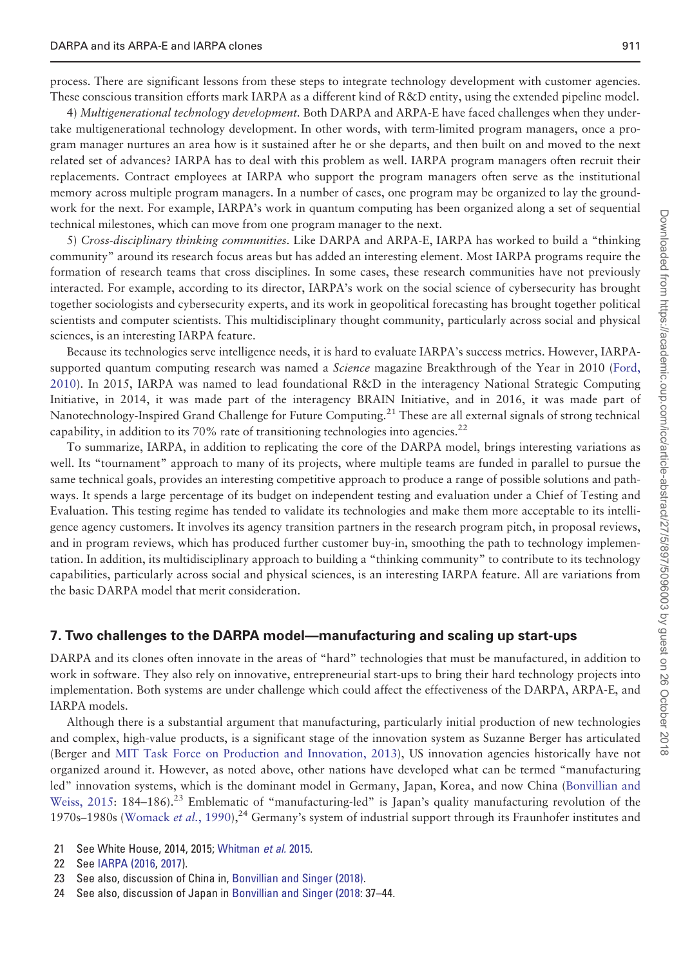process. There are significant lessons from these steps to integrate technology development with customer agencies. These conscious transition efforts mark IARPA as a different kind of R&D entity, using the extended pipeline model.

4) Multigenerational technology development. Both DARPA and ARPA-E have faced challenges when they undertake multigenerational technology development. In other words, with term-limited program managers, once a program manager nurtures an area how is it sustained after he or she departs, and then built on and moved to the next related set of advances? IARPA has to deal with this problem as well. IARPA program managers often recruit their replacements. Contract employees at IARPA who support the program managers often serve as the institutional memory across multiple program managers. In a number of cases, one program may be organized to lay the groundwork for the next. For example, IARPA's work in quantum computing has been organized along a set of sequential technical milestones, which can move from one program manager to the next.

5) Cross-disciplinary thinking communities. Like DARPA and ARPA-E, IARPA has worked to build a "thinking community" around its research focus areas but has added an interesting element. Most IARPA programs require the formation of research teams that cross disciplines. In some cases, these research communities have not previously interacted. For example, according to its director, IARPA's work on the social science of cybersecurity has brought together sociologists and cybersecurity experts, and its work in geopolitical forecasting has brought together political scientists and computer scientists. This multidisciplinary thought community, particularly across social and physical sciences, is an interesting IARPA feature.

Because its technologies serve intelligence needs, it is hard to evaluate IARPA's success metrics. However, IARPAsupported quantum computing research was named a *Science* magazine Breakthrough of the Year in 2010 [\(Ford,](#page-16-0) [2010\)](#page-16-0). In 2015, IARPA was named to lead foundational R&D in the interagency National Strategic Computing Initiative, in 2014, it was made part of the interagency BRAIN Initiative, and in 2016, it was made part of Nanotechnology-Inspired Grand Challenge for Future Computing.<sup>21</sup> These are all external signals of strong technical capability, in addition to its 70% rate of transitioning technologies into agencies.<sup>22</sup>

To summarize, IARPA, in addition to replicating the core of the DARPA model, brings interesting variations as well. Its "tournament" approach to many of its projects, where multiple teams are funded in parallel to pursue the same technical goals, provides an interesting competitive approach to produce a range of possible solutions and pathways. It spends a large percentage of its budget on independent testing and evaluation under a Chief of Testing and Evaluation. This testing regime has tended to validate its technologies and make them more acceptable to its intelligence agency customers. It involves its agency transition partners in the research program pitch, in proposal reviews, and in program reviews, which has produced further customer buy-in, smoothing the path to technology implementation. In addition, its multidisciplinary approach to building a "thinking community" to contribute to its technology capabilities, particularly across social and physical sciences, is an interesting IARPA feature. All are variations from the basic DARPA model that merit consideration.

# 7. Two challenges to the DARPA model—manufacturing and scaling up start-ups

DARPA and its clones often innovate in the areas of "hard" technologies that must be manufactured, in addition to work in software. They also rely on innovative, entrepreneurial start-ups to bring their hard technology projects into implementation. Both systems are under challenge which could affect the effectiveness of the DARPA, ARPA-E, and IARPA models.

Although there is a substantial argument that manufacturing, particularly initial production of new technologies and complex, high-value products, is a significant stage of the innovation system as Suzanne Berger has articulated (Berger and [MIT Task Force on Production and Innovation, 2013\)](#page-16-0), US innovation agencies historically have not organized around it. However, as noted above, other nations have developed what can be termed "manufacturing led" innovation systems, which is the dominant model in Germany, Japan, Korea, and now China [\(Bonvillian and](#page-16-0) [Weiss, 2015:](#page-16-0) 184–186).<sup>23</sup> Emblematic of "manufacturing-led" is Japan's quality manufacturing revolution of the 1970s–1980s ([Womack](#page-17-0) *et al.*, 1990),<sup>24</sup> Germany's system of industrial support through its Fraunhofer institutes and

- 21 See White House, 2014, 2015; [Whitman](#page-17-0) et al. 2015.
- 22 See [IARPA \(2016](#page-17-0), [2017](#page-16-0)).
- 23 See also, discussion of China in, [Bonvillian and Singer \(2018\)](#page-16-0).
- 24 See also, discussion of Japan in [Bonvillian and Singer \(2018:](#page-16-0) 37–44.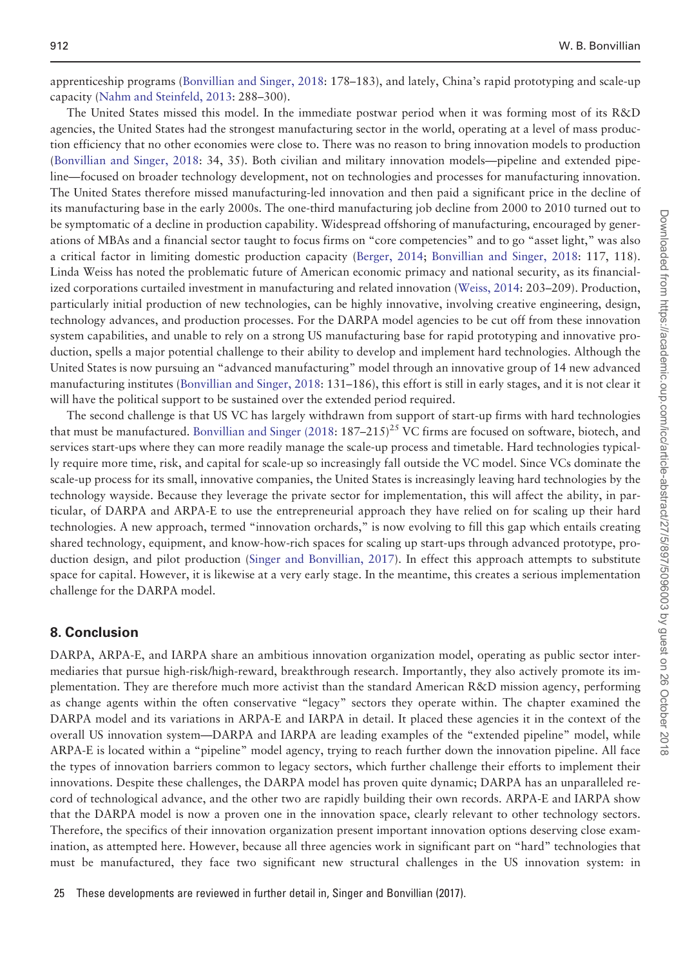apprenticeship programs ([Bonvillian and Singer, 2018:](#page-16-0) 178–183), and lately, China's rapid prototyping and scale-up capacity [\(Nahm and Steinfeld, 2013](#page-17-0): 288–300).

The United States missed this model. In the immediate postwar period when it was forming most of its R&D agencies, the United States had the strongest manufacturing sector in the world, operating at a level of mass production efficiency that no other economies were close to. There was no reason to bring innovation models to production [\(Bonvillian and Singer, 2018:](#page-16-0) 34, 35). Both civilian and military innovation models—pipeline and extended pipeline—focused on broader technology development, not on technologies and processes for manufacturing innovation. The United States therefore missed manufacturing-led innovation and then paid a significant price in the decline of its manufacturing base in the early 2000s. The one-third manufacturing job decline from 2000 to 2010 turned out to be symptomatic of a decline in production capability. Widespread offshoring of manufacturing, encouraged by generations of MBAs and a financial sector taught to focus firms on "core competencies" and to go "asset light," was also a critical factor in limiting domestic production capacity [\(Berger, 2014;](#page-16-0) [Bonvillian and Singer, 2018:](#page-16-0) 117, 118). Linda Weiss has noted the problematic future of American economic primacy and national security, as its financialized corporations curtailed investment in manufacturing and related innovation ([Weiss, 2014](#page-17-0): 203–209). Production, particularly initial production of new technologies, can be highly innovative, involving creative engineering, design, technology advances, and production processes. For the DARPA model agencies to be cut off from these innovation system capabilities, and unable to rely on a strong US manufacturing base for rapid prototyping and innovative production, spells a major potential challenge to their ability to develop and implement hard technologies. Although the United States is now pursuing an "advanced manufacturing" model through an innovative group of 14 new advanced manufacturing institutes [\(Bonvillian and Singer, 2018](#page-16-0): 131–186), this effort is still in early stages, and it is not clear it will have the political support to be sustained over the extended period required.

The second challenge is that US VC has largely withdrawn from support of start-up firms with hard technologies that must be manufactured. Bonvillian and Singer  $(2018: 187-215)^{25}$  VC firms are focused on software, biotech, and services start-ups where they can more readily manage the scale-up process and timetable. Hard technologies typically require more time, risk, and capital for scale-up so increasingly fall outside the VC model. Since VCs dominate the scale-up process for its small, innovative companies, the United States is increasingly leaving hard technologies by the technology wayside. Because they leverage the private sector for implementation, this will affect the ability, in particular, of DARPA and ARPA-E to use the entrepreneurial approach they have relied on for scaling up their hard technologies. A new approach, termed "innovation orchards," is now evolving to fill this gap which entails creating shared technology, equipment, and know-how-rich spaces for scaling up start-ups through advanced prototype, production design, and pilot production ([Singer and Bonvillian, 2017\)](#page-17-0). In effect this approach attempts to substitute space for capital. However, it is likewise at a very early stage. In the meantime, this creates a serious implementation challenge for the DARPA model.

#### 8. Conclusion

DARPA, ARPA-E, and IARPA share an ambitious innovation organization model, operating as public sector intermediaries that pursue high-risk/high-reward, breakthrough research. Importantly, they also actively promote its implementation. They are therefore much more activist than the standard American R&D mission agency, performing as change agents within the often conservative "legacy" sectors they operate within. The chapter examined the DARPA model and its variations in ARPA-E and IARPA in detail. It placed these agencies it in the context of the overall US innovation system—DARPA and IARPA are leading examples of the "extended pipeline" model, while ARPA-E is located within a "pipeline" model agency, trying to reach further down the innovation pipeline. All face the types of innovation barriers common to legacy sectors, which further challenge their efforts to implement their innovations. Despite these challenges, the DARPA model has proven quite dynamic; DARPA has an unparalleled record of technological advance, and the other two are rapidly building their own records. ARPA-E and IARPA show that the DARPA model is now a proven one in the innovation space, clearly relevant to other technology sectors. Therefore, the specifics of their innovation organization present important innovation options deserving close examination, as attempted here. However, because all three agencies work in significant part on "hard" technologies that must be manufactured, they face two significant new structural challenges in the US innovation system: in

25 These developments are reviewed in further detail in, Singer and Bonvillian (2017).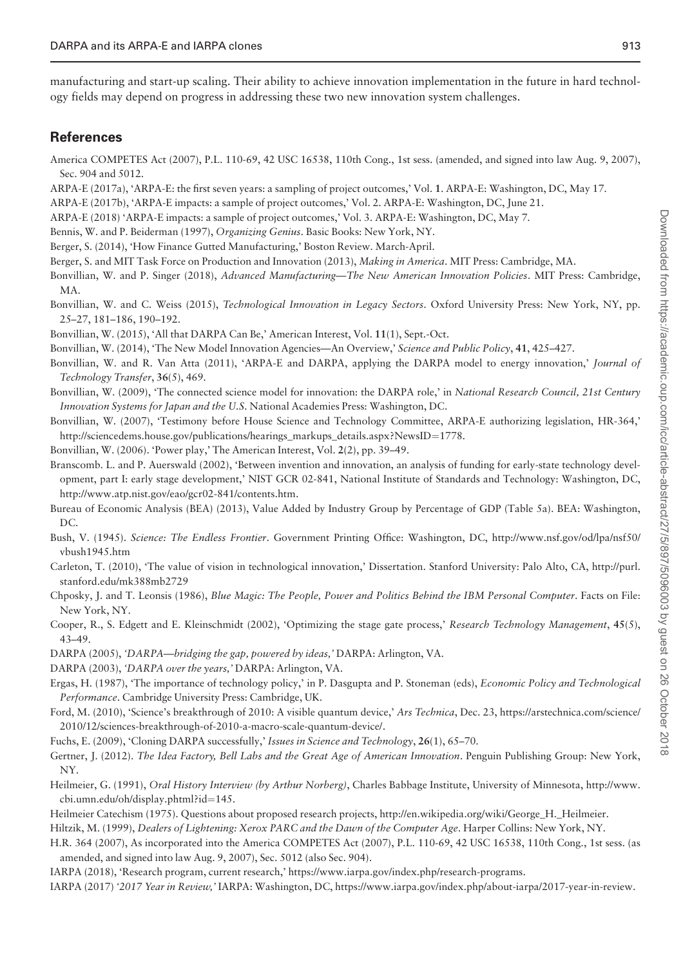<span id="page-16-0"></span>manufacturing and start-up scaling. Their ability to achieve innovation implementation in the future in hard technology fields may depend on progress in addressing these two new innovation system challenges.

#### References

America COMPETES Act (2007), P.L. 110-69, 42 USC 16538, 110th Cong., 1st sess. (amended, and signed into law Aug. 9, 2007), Sec. 904 and 5012.

- ARPA-E (2017a), 'ARPA-E: the first seven years: a sampling of project outcomes,' Vol. 1. ARPA-E: Washington, DC, May 17.
- ARPA-E (2017b), 'ARPA-E impacts: a sample of project outcomes,' Vol. 2. ARPA-E: Washington, DC, June 21.
- ARPA-E (2018) 'ARPA-E impacts: a sample of project outcomes,' Vol. 3. ARPA-E: Washington, DC, May 7.
- Bennis, W. and P. Beiderman (1997), Organizing Genius. Basic Books: New York, NY.
- Berger, S. (2014), 'How Finance Gutted Manufacturing,' Boston Review. March-April.
- Berger, S. and MIT Task Force on Production and Innovation (2013), Making in America. MIT Press: Cambridge, MA.
- Bonvillian, W. and P. Singer (2018), Advanced Manufacturing—The New American Innovation Policies. MIT Press: Cambridge, MA.
- Bonvillian, W. and C. Weiss (2015), Technological Innovation in Legacy Sectors. Oxford University Press: New York, NY, pp. 25–27, 181–186, 190–192.
- Bonvillian, W. (2015), 'All that DARPA Can Be,' American Interest, Vol. 11(1), Sept.-Oct.
- Bonvillian, W. (2014), 'The New Model Innovation Agencies—An Overview,' Science and Public Policy, 41, 425–427.
- Bonvillian, W. and R. Van Atta (2011), 'ARPA-E and DARPA, applying the DARPA model to energy innovation,' Journal of Technology Transfer, 36(5), 469.
- Bonvillian, W. (2009), 'The connected science model for innovation: the DARPA role,' in National Research Council, 21st Century Innovation Systems for Japan and the U.S. National Academies Press: Washington, DC.
- Bonvillian, W. (2007), 'Testimony before House Science and Technology Committee, ARPA-E authorizing legislation, HR-364,' [http://sciencedems.house.gov/publications/hearings\\_markups\\_details.aspx?NewsID](http://sciencedems.house.gov/publications/hearings_markups_details.aspx?NewsID=1778)=[1778.](http://sciencedems.house.gov/publications/hearings_markups_details.aspx?NewsID=1778)
- Bonvillian, W. (2006). 'Power play,' The American Interest, Vol. 2(2), pp. 39–49.
- Branscomb. L. and P. Auerswald (2002), 'Between invention and innovation, an analysis of funding for early-state technology development, part I: early stage development,' NIST GCR 02-841, National Institute of Standards and Technology: Washington, DC, <http://www.atp.nist.gov/eao/gcr02-841/contents.htm>.
- Bureau of Economic Analysis (BEA) (2013), Value Added by Industry Group by Percentage of GDP (Table 5a). BEA: Washington, DC.
- Bush, V. (1945). Science: The Endless Frontier. Government Printing Office: Washington, DC, [http://www.nsf.gov/od/lpa/nsf50/](http://www.nsf.gov/od/lpa/nsf50/vbush1945.htm) [vbush1945.htm](http://www.nsf.gov/od/lpa/nsf50/vbush1945.htm)
- Carleton, T. (2010), 'The value of vision in technological innovation,' Dissertation. Stanford University: Palo Alto, CA, [http://purl.](http://purl.stanford.edu/mk388mb2729) [stanford.edu/mk388mb2729](http://purl.stanford.edu/mk388mb2729)
- Chposky, J. and T. Leonsis (1986), Blue Magic: The People, Power and Politics Behind the IBM Personal Computer. Facts on File: New York, NY.
- Cooper, R., S. Edgett and E. Kleinschmidt (2002), 'Optimizing the stage gate process,' Research Technology Management, 45(5), 43–49.
- DARPA (2005), 'DARPA—bridging the gap, powered by ideas,' DARPA: Arlington, VA.
- DARPA (2003), 'DARPA over the years,' DARPA: Arlington, VA.
- Ergas, H. (1987), 'The importance of technology policy,' in P. Dasgupta and P. Stoneman (eds), Economic Policy and Technological Performance. Cambridge University Press: Cambridge, UK.
- Ford, M. (2010), 'Science's breakthrough of 2010: A visible quantum device,' Ars Technica, Dec. 23, [https://arstechnica.com/science/](https://arstechnica.com/science/2010/12/sciences-breakthrough-of-2010-a-macro-scale-quantum-device/) [2010/12/sciences-breakthrough-of-2010-a-macro-scale-quantum-device/](https://arstechnica.com/science/2010/12/sciences-breakthrough-of-2010-a-macro-scale-quantum-device/).
- Fuchs, E. (2009), 'Cloning DARPA successfully,' Issues in Science and Technology, 26(1), 65–70.
- Gertner, J. (2012). The Idea Factory, Bell Labs and the Great Age of American Innovation. Penguin Publishing Group: New York, NY.
- Heilmeier, G. (1991), Oral History Interview (by Arthur Norberg), Charles Babbage Institute, University of Minnesota, [http://www.](http://www.cbi.umn.edu/oh/display.phtml?id=145) [cbi.umn.edu/oh/display.phtml?id](http://www.cbi.umn.edu/oh/display.phtml?id=145)=[145.](http://www.cbi.umn.edu/oh/display.phtml?id=145)
- Heilmeier Catechism (1975). Questions about proposed research projects, [http://en.wikipedia.org/wiki/George\\_H.\\_Heilmeier](http://en.wikipedia.org/wiki/George_H._Heilmeier).

Hiltzik, M. (1999), Dealers of Lightening: Xerox PARC and the Dawn of the Computer Age. Harper Collins: New York, NY.

- H.R. 364 (2007), As incorporated into the America COMPETES Act (2007), P.L. 110-69, 42 USC 16538, 110th Cong., 1st sess. (as amended, and signed into law Aug. 9, 2007), Sec. 5012 (also Sec. 904).
- IARPA (2018), 'Research program, current research,'<https://www.iarpa.gov/index.php/research-programs>.
- IARPA (2017) '2017 Year in Review,' IARPA: Washington, DC, [https://www.iarpa.gov/index.php/about-iarpa/2017-year-in-review.](https://www.iarpa.gov/index.php/about-iarpa/2017-year-in-review)